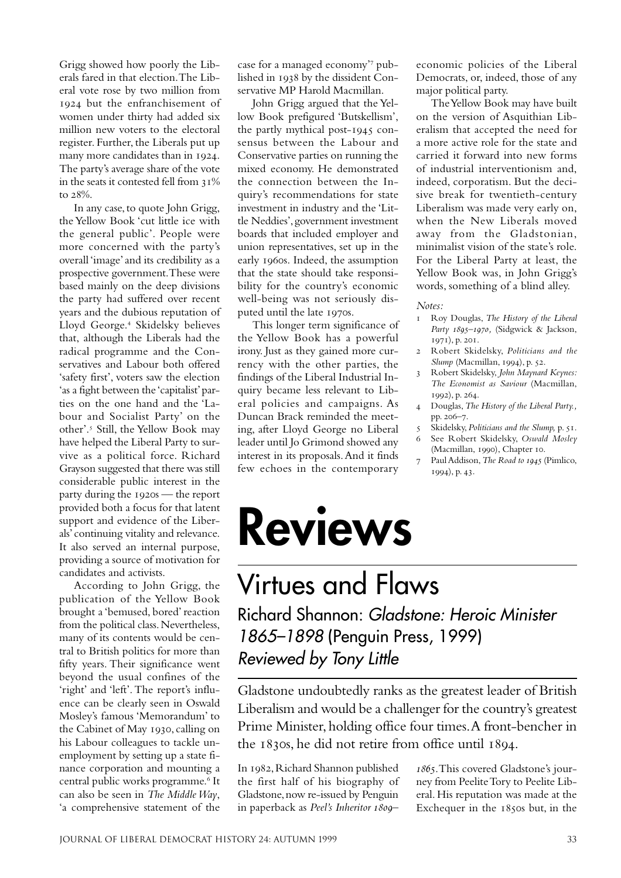Grigg showed how poorly the Liberals fared in that election. The Liberal vote rose by two million from 1924 but the enfranchisement of women under thirty had added six million new voters to the electoral register. Further, the Liberals put up many more candidates than in 1924. The party's average share of the vote in the seats it contested fell from  $31\%$ to  $28\%$ .

In any case, to quote John Grigg, the Yellow Book 'cut little ice with the general public'. People were more concerned with the party's overall 'image' and its credibility as a prospective government. These were based mainly on the deep divisions the party had suffered over recent years and the dubious reputation of Lloyd George.<sup>4</sup> Skidelsky believes that, although the Liberals had the radical programme and the Conservatives and Labour both offered 'safety first', voters saw the election 'as a fight between the 'capitalist' parties on the one hand and the 'Labour and Socialist Party' on the other'.<sup>5</sup> Still, the Yellow Book may have helped the Liberal Party to survive as a political force. Richard Grayson suggested that there was still considerable public interest in the party during the  $1920s$  — the report provided both a focus for that latent support and evidence of the Liberals' continuing vitality and relevance. It also served an internal purpose, providing a source of motivation for candidates and activists.

According to John Grigg, the publication of the Yellow Book brought a 'bemused, bored' reaction from the political class. Nevertheless, many of its contents would be central to British politics for more than fifty years. Their significance went beyond the usual confines of the 'right' and 'left'. The report's influence can be clearly seen in Oswald Mosley's famous 'Memorandum' to the Cabinet of May 1930, calling on his Labour colleagues to tackle unemployment by setting up a state finance corporation and mounting a central public works programme. It can also be seen in *The Middle Way*, 'a comprehensive statement of the

case for a managed economy'7 published in 1938 by the dissident Conservative MP Harold Macmillan.

John Grigg argued that the Yellow Book prefigured 'Butskellism', the partly mythical post-1945 consensus between the Labour and Conservative parties on running the mixed economy. He demonstrated the connection between the Inquiry's recommendations for state investment in industry and the 'Little Neddies', government investment boards that included employer and union representatives, set up in the early 1960s. Indeed, the assumption that the state should take responsibility for the country's economic well-being was not seriously disputed until the late 1970s.

This longer term significance of the Yellow Book has a powerful irony. Just as they gained more currency with the other parties, the findings of the Liberal Industrial Inquiry became less relevant to Liberal policies and campaigns. As Duncan Brack reminded the meeting, after Lloyd George no Liberal leader until Jo Grimond showed any interest in its proposals. And it finds few echoes in the contemporary

economic policies of the Liberal Democrats, or, indeed, those of any major political party.

The Yellow Book may have built on the version of Asquithian Liberalism that accepted the need for a more active role for the state and carried it forward into new forms of industrial interventionism and, indeed, corporatism. But the decisive break for twentieth-century Liberalism was made very early on, when the New Liberals moved away from the Gladstonian, minimalist vision of the state's role. For the Liberal Party at least, the Yellow Book was, in John Grigg's words, something of a blind alley.

#### *Notes:*

- Roy Douglas, *The History of the Liberal Party 1895-1970*, (Sidgwick & Jackson, 1971), p. 201.
- Robert Skidelsky, *Politicians and the Slump* (Macmillan, 1994), p. 52.
- Robert Skidelsky, *John Maynard Keynes: The Economist as Saviour* (Macmillan, 1992), p. 264.
- Douglas, *The History of the Liberal Party.,* pp. 206-7.
- 5 Skidelsky, *Politicians and the Slump*, p. 51.
- See Robert Skidelsky, *Oswald Mosley* (Macmillan, 1990), Chapter 10.
- 7 Paul Addison, *The Road to 1945* (Pimlico, 1994), p. 43.

# **Reviews**

## Virtues and Flaws

Richard Shannon: Gladstone: Heroic Minister 1865–1898 (Penguin Press, 1999) Reviewed by Tony Little

Gladstone undoubtedly ranks as the greatest leader of British Liberalism and would be a challenger for the country's greatest Prime Minister, holding office four times. A front-bencher in the  $1830s$ , he did not retire from office until  $1894$ .

In 1982, Richard Shannon published the first half of his biography of Gladstone, now re-issued by Penguin in paperback as *Peel's Inheritor –*

. This covered Gladstone's journey from Peelite Tory to Peelite Liberal. His reputation was made at the Exchequer in the 1850s but, in the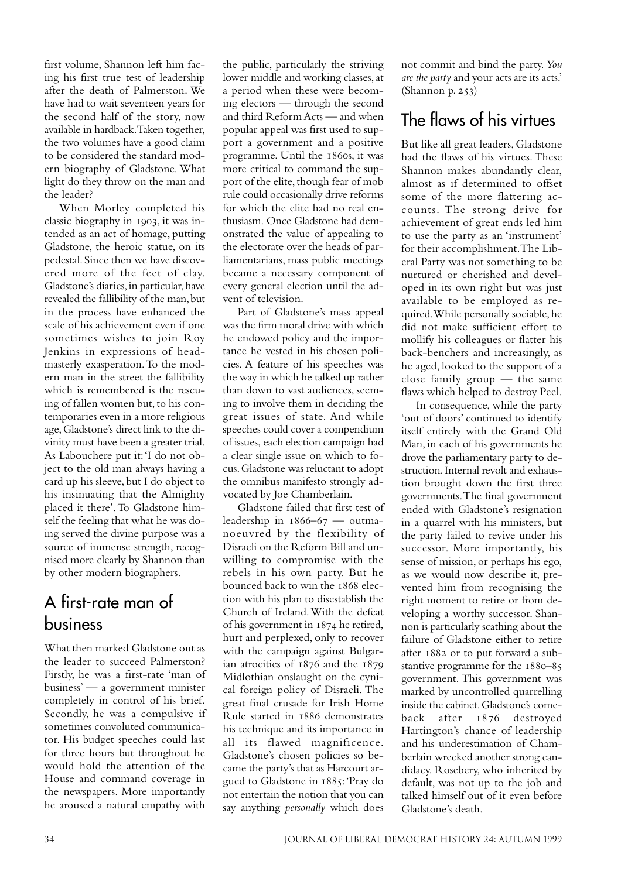first volume, Shannon left him facing his first true test of leadership after the death of Palmerston. We have had to wait seventeen years for the second half of the story, now available in hardback. Taken together, the two volumes have a good claim to be considered the standard modern biography of Gladstone. What light do they throw on the man and the leader?

When Morley completed his classic biography in 1903, it was intended as an act of homage, putting Gladstone, the heroic statue, on its pedestal. Since then we have discovered more of the feet of clay. Gladstone's diaries, in particular, have revealed the fallibility of the man, but in the process have enhanced the scale of his achievement even if one sometimes wishes to join Roy Jenkins in expressions of headmasterly exasperation. To the modern man in the street the fallibility which is remembered is the rescuing of fallen women but, to his contemporaries even in a more religious age, Gladstone's direct link to the divinity must have been a greater trial. As Labouchere put it: 'I do not object to the old man always having a card up his sleeve, but I do object to his insinuating that the Almighty placed it there'. To Gladstone himself the feeling that what he was doing served the divine purpose was a source of immense strength, recognised more clearly by Shannon than by other modern biographers.

### A first-rate man of business

What then marked Gladstone out as the leader to succeed Palmerston? Firstly, he was a first-rate 'man of business' — a government minister completely in control of his brief. Secondly, he was a compulsive if sometimes convoluted communicator. His budget speeches could last for three hours but throughout he would hold the attention of the House and command coverage in the newspapers. More importantly he aroused a natural empathy with

the public, particularly the striving lower middle and working classes, at a period when these were becoming electors — through the second and third Reform Acts — and when popular appeal was first used to support a government and a positive programme. Until the 1860s, it was more critical to command the support of the elite, though fear of mob rule could occasionally drive reforms for which the elite had no real enthusiasm. Once Gladstone had demonstrated the value of appealing to the electorate over the heads of parliamentarians, mass public meetings became a necessary component of every general election until the advent of television.

Part of Gladstone's mass appeal was the firm moral drive with which he endowed policy and the importance he vested in his chosen policies. A feature of his speeches was the way in which he talked up rather than down to vast audiences, seeming to involve them in deciding the great issues of state. And while speeches could cover a compendium of issues, each election campaign had a clear single issue on which to focus. Gladstone was reluctant to adopt the omnibus manifesto strongly advocated by Joe Chamberlain.

Gladstone failed that first test of leadership in  $1866-67$  — outmanoeuvred by the flexibility of Disraeli on the Reform Bill and unwilling to compromise with the rebels in his own party. But he bounced back to win the  $1868$  election with his plan to disestablish the Church of Ireland. With the defeat of his government in  $1874$  he retired, hurt and perplexed, only to recover with the campaign against Bulgarian atrocities of  $1876$  and the  $1879$ Midlothian onslaught on the cynical foreign policy of Disraeli. The great final crusade for Irish Home Rule started in 1886 demonstrates his technique and its importance in all its flawed magnificence. Gladstone's chosen policies so became the party's that as Harcourt argued to Gladstone in 1885: 'Pray do not entertain the notion that you can say anything *personally* which does

not commit and bind the party. *You are the party* and your acts are its acts.'  $(Shannon p. 253)$ 

#### The flaws of his virtues

But like all great leaders, Gladstone had the flaws of his virtues. These Shannon makes abundantly clear, almost as if determined to offset some of the more flattering accounts. The strong drive for achievement of great ends led him to use the party as an 'instrument' for their accomplishment. The Liberal Party was not something to be nurtured or cherished and developed in its own right but was just available to be employed as required. While personally sociable, he did not make sufficient effort to mollify his colleagues or flatter his back-benchers and increasingly, as he aged, looked to the support of a close family group — the same flaws which helped to destroy Peel.

In consequence, while the party 'out of doors' continued to identify itself entirely with the Grand Old Man, in each of his governments he drove the parliamentary party to destruction. Internal revolt and exhaustion brought down the first three governments. The final government ended with Gladstone's resignation in a quarrel with his ministers, but the party failed to revive under his successor. More importantly, his sense of mission, or perhaps his ego, as we would now describe it, prevented him from recognising the right moment to retire or from developing a worthy successor. Shannon is particularly scathing about the failure of Gladstone either to retire after 1882 or to put forward a substantive programme for the  $1880-85$ government. This government was marked by uncontrolled quarrelling inside the cabinet. Gladstone's comeback after 1876 destroyed Hartington's chance of leadership and his underestimation of Chamberlain wrecked another strong candidacy. Rosebery, who inherited by default, was not up to the job and talked himself out of it even before Gladstone's death.